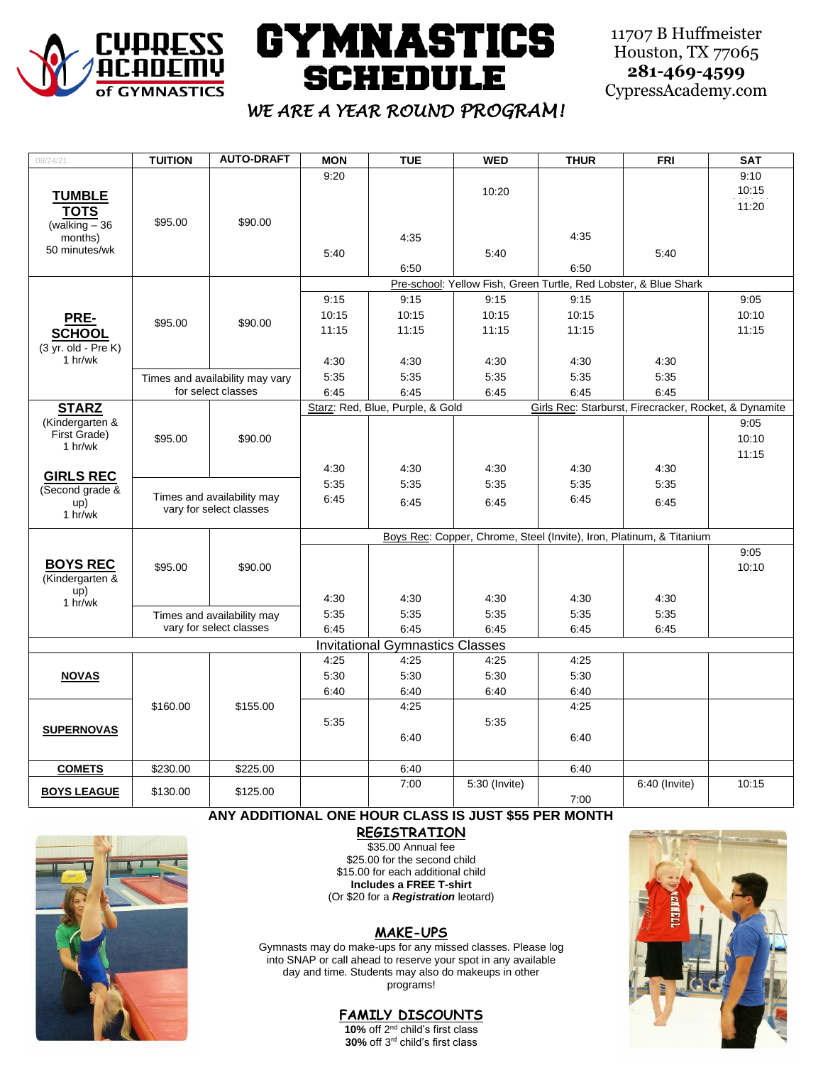

# **GYMNASTICS SCHEDULE**

11707 B Huffmeister Houston, TX 77065 **281-469-4599** CypressAcademy.com

# *WE ARE A YEAR ROUND PROGRAM!*

| 08/24/21                      | <b>TUITION</b>                                        | <b>AUTO-DRAFT</b> | <b>MON</b>                                                           | <b>TUE</b>                             | <b>WED</b>    | <b>THUR</b> | <b>FRI</b>                                            | <b>SAT</b> |  |
|-------------------------------|-------------------------------------------------------|-------------------|----------------------------------------------------------------------|----------------------------------------|---------------|-------------|-------------------------------------------------------|------------|--|
| <b>TUMBLE</b>                 |                                                       |                   | 9:20                                                                 |                                        |               |             |                                                       | 9:10       |  |
|                               |                                                       |                   |                                                                      |                                        | 10:20         |             |                                                       | 10:15      |  |
| <b>TOTS</b>                   |                                                       |                   |                                                                      |                                        |               |             |                                                       | 11:20      |  |
| (walking $-36$                | \$95.00                                               | \$90.00           |                                                                      |                                        |               |             |                                                       |            |  |
| months)                       |                                                       |                   |                                                                      | 4:35                                   |               | 4:35        |                                                       |            |  |
| 50 minutes/wk                 |                                                       |                   | 5:40                                                                 |                                        | 5:40          |             | 5.40                                                  |            |  |
|                               |                                                       |                   |                                                                      | 6:50                                   |               | 6:50        |                                                       |            |  |
|                               | \$95.00                                               | \$90.00           | Pre-school: Yellow Fish, Green Turtle, Red Lobster, & Blue Shark     |                                        |               |             |                                                       |            |  |
| PRE-<br><b>SCHOOL</b>         |                                                       |                   | 9:15                                                                 | 9:15                                   | 9:15          | 9:15        |                                                       | 9:05       |  |
|                               |                                                       |                   | 10:15                                                                | 10:15                                  | 10:15         | 10:15       |                                                       | 10:10      |  |
|                               |                                                       |                   | 11:15                                                                | 11:15                                  | 11:15         | 11:15       |                                                       | 11:15      |  |
| $(3 \text{ yr. old - Pre K})$ |                                                       |                   |                                                                      |                                        |               |             |                                                       |            |  |
| 1 h r/wk                      |                                                       |                   | 4:30                                                                 | 4:30                                   | 4:30          | 4:30        | 4:30                                                  |            |  |
|                               |                                                       |                   | 5:35                                                                 | 5:35                                   | 5:35          | 5:35        | 5:35                                                  |            |  |
|                               | Times and availability may vary<br>for select classes |                   | 6:45                                                                 | 6:45                                   | 6:45          | 6:45        | 6:45                                                  |            |  |
| <b>STARZ</b>                  |                                                       |                   |                                                                      | Starz: Red, Blue, Purple, & Gold       |               |             | Girls Rec: Starburst, Firecracker, Rocket, & Dynamite |            |  |
| (Kindergarten &               |                                                       |                   |                                                                      |                                        |               |             |                                                       | 9:05       |  |
| First Grade)                  | \$95.00                                               | \$90.00           |                                                                      |                                        |               |             |                                                       | 10:10      |  |
| 1 hr/wk                       |                                                       |                   |                                                                      |                                        |               |             |                                                       | 11:15      |  |
|                               |                                                       |                   | 4:30                                                                 | 4:30                                   | 4:30          | 4:30        | 4:30                                                  |            |  |
| <b>GIRLS REC</b>              |                                                       |                   | 5:35                                                                 | 5:35                                   | 5:35          | 5:35        | 5:35                                                  |            |  |
| (Second grade &               | Times and availability may<br>vary for select classes |                   | 6:45                                                                 |                                        |               | 6:45        |                                                       |            |  |
| up)<br>1 hr/wk                |                                                       |                   |                                                                      | 6:45                                   | 6:45          |             | 6:45                                                  |            |  |
|                               |                                                       |                   |                                                                      |                                        |               |             |                                                       |            |  |
|                               |                                                       |                   | Boys Rec: Copper, Chrome, Steel (Invite), Iron, Platinum, & Titanium |                                        |               |             |                                                       |            |  |
|                               |                                                       |                   |                                                                      |                                        |               |             |                                                       | 9:05       |  |
| <b>BOYS REC</b>               | \$95.00                                               | \$90.00           |                                                                      |                                        |               |             |                                                       | 10:10      |  |
| (Kindergarten &<br>up)        |                                                       |                   |                                                                      |                                        |               |             |                                                       |            |  |
| 1 hr/wk                       |                                                       |                   | 4:30                                                                 | 4:30                                   | 4:30          | 4:30        | 4:30                                                  |            |  |
|                               | Times and availability may                            |                   | 5:35                                                                 | 5:35                                   | 5:35          | 5:35        | 5:35                                                  |            |  |
|                               | vary for select classes                               |                   | 6:45                                                                 | 6:45                                   | 6:45          | 6:45        | 6:45                                                  |            |  |
|                               |                                                       |                   |                                                                      | <b>Invitational Gymnastics Classes</b> |               |             |                                                       |            |  |
|                               | \$160.00                                              | \$155.00          | 4:25                                                                 | 4:25                                   | 4:25          | 4:25        |                                                       |            |  |
| <b>NOVAS</b>                  |                                                       |                   | 5:30                                                                 | 5:30                                   | 5:30          | 5:30        |                                                       |            |  |
|                               |                                                       |                   | 6:40                                                                 | 6:40                                   | 6:40          | 6:40        |                                                       |            |  |
| <b>SUPERNOVAS</b>             |                                                       |                   |                                                                      | 4.25                                   |               | 4:25        |                                                       |            |  |
|                               |                                                       |                   | 5:35                                                                 |                                        | 5:35          |             |                                                       |            |  |
|                               |                                                       |                   |                                                                      | 6:40                                   |               | 6:40        |                                                       |            |  |
|                               |                                                       |                   |                                                                      |                                        |               |             |                                                       |            |  |
| <b>COMETS</b>                 | \$230.00                                              | \$225.00          |                                                                      | 6:40                                   |               | 6:40        |                                                       |            |  |
|                               |                                                       |                   |                                                                      | 7:00                                   | 5:30 (Invite) |             | 6:40 (Invite)                                         | 10:15      |  |
| <b>BOYS LEAGUE</b>            | \$130.00                                              | \$125.00          |                                                                      |                                        |               | 7:00        |                                                       |            |  |

**ANY ADDITIONAL ONE HOUR CLASS IS JUST \$55 PER MONTH**



**REGISTRATION**

\$35.00 Annual fee \$25.00 for the second child \$15.00 for each additional child **Includes a FREE T-shirt** (Or \$20 for a *Registration* leotard)

### **MAKE-UPS**

Gymnasts may do make-ups for any missed classes. Please log into SNAP or call ahead to reserve your spot in any available day and time. Students may also do makeups in other programs!

**FAMILY DISCOUNTS** 10% off 2<sup>nd</sup> child's first class

**30%** off 3rd child's first class